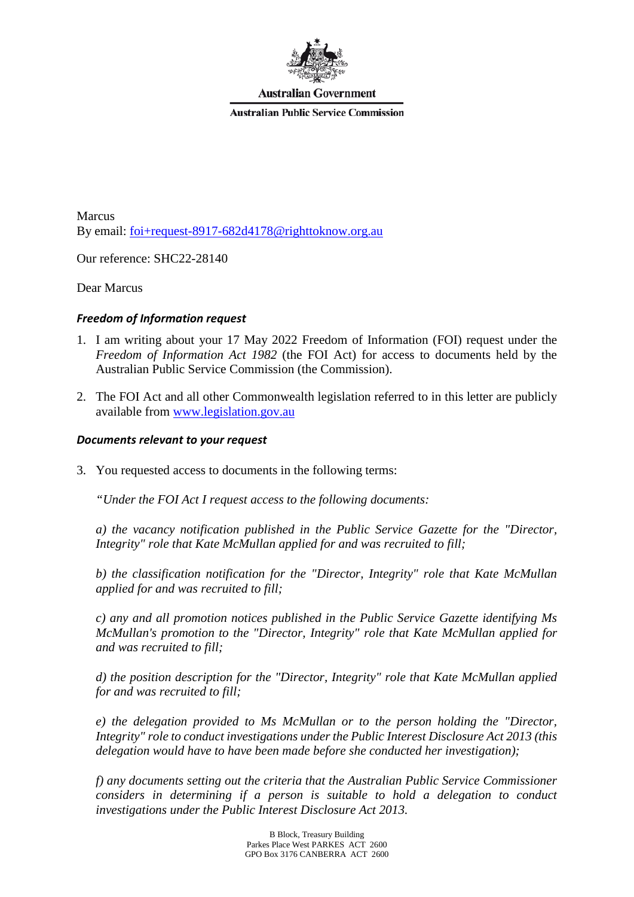

**Australian Government** 

**Australian Public Service Commission** 

Marcus By email: [foi+request-8917-682d4178@righttoknow.org.au](mailto:xxxxxxxxxxxxxxxxxxxxxxxxx@xxxxxxxxxxx.xxx.xx)

Our reference: SHC22-28140

Dear Marcus

### *Freedom of Information request*

- 1. I am writing about your 17 May 2022 Freedom of Information (FOI) request under the *Freedom of Information Act 1982* (the FOI Act) for access to documents held by the Australian Public Service Commission (the Commission).
- 2. The FOI Act and all other Commonwealth legislation referred to in this letter are publicly available from [www.legislation.gov.au](http://www.legislation.gov.au/)

### *Documents relevant to your request*

3. You requested access to documents in the following terms:

*"Under the FOI Act I request access to the following documents:*

*a) the vacancy notification published in the Public Service Gazette for the "Director, Integrity" role that Kate McMullan applied for and was recruited to fill;*

*b) the classification notification for the "Director, Integrity" role that Kate McMullan applied for and was recruited to fill;*

*c) any and all promotion notices published in the Public Service Gazette identifying Ms McMullan's promotion to the "Director, Integrity" role that Kate McMullan applied for and was recruited to fill;*

*d) the position description for the "Director, Integrity" role that Kate McMullan applied for and was recruited to fill;*

*e) the delegation provided to Ms McMullan or to the person holding the "Director, Integrity" role to conduct investigations under the Public Interest Disclosure Act 2013 (this delegation would have to have been made before she conducted her investigation);* 

*f) any documents setting out the criteria that the Australian Public Service Commissioner considers in determining if a person is suitable to hold a delegation to conduct investigations under the Public Interest Disclosure Act 2013.*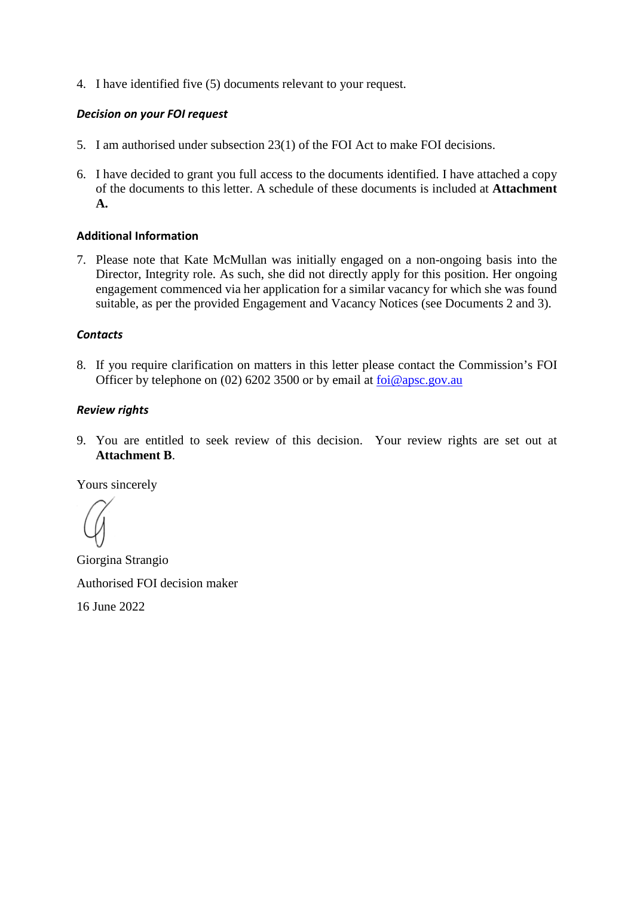4. I have identified five (5) documents relevant to your request.

# *Decision on your FOI request*

- 5. I am authorised under subsection 23(1) of the FOI Act to make FOI decisions.
- 6. I have decided to grant you full access to the documents identified. I have attached a copy of the documents to this letter. A schedule of these documents is included at **Attachment A.**

### **Additional Information**

7. Please note that Kate McMullan was initially engaged on a non-ongoing basis into the Director, Integrity role. As such, she did not directly apply for this position. Her ongoing engagement commenced via her application for a similar vacancy for which she was found suitable, as per the provided Engagement and Vacancy Notices (see Documents 2 and 3).

### *Contacts*

8. If you require clarification on matters in this letter please contact the Commission's FOI Officer by telephone on (02) 6202 3500 or by email at  $\frac{\delta_0}{\delta_0}$  for  $\frac{\delta_0}{\delta_0}$  apsc.gov.au

### *Review rights*

9. You are entitled to seek review of this decision. Your review rights are set out at **Attachment B**.

Yours sincerely

Giorgina Strangio Authorised FOI decision maker

16 June 2022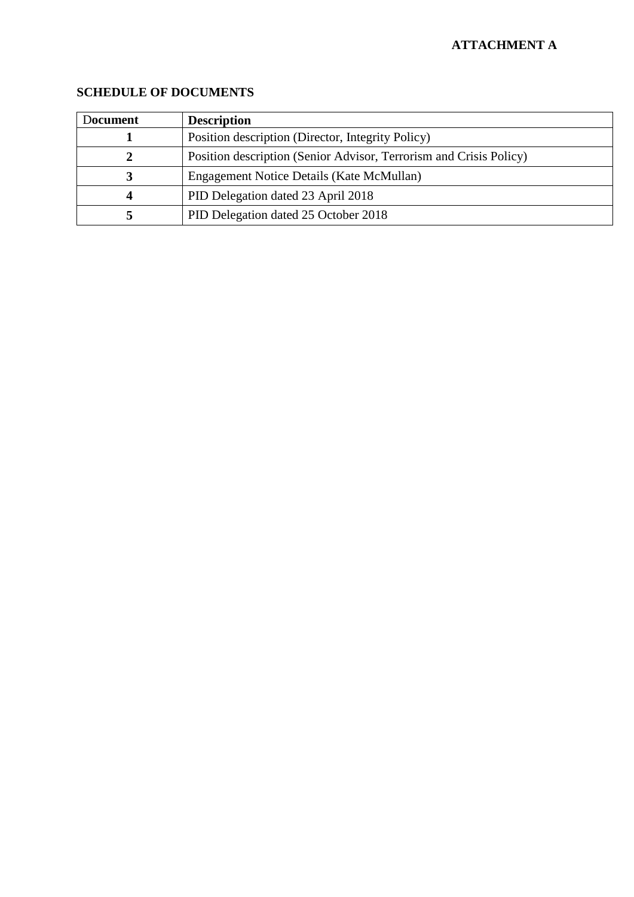# **ATTACHMENT A**

| Document | <b>Description</b>                                                 |
|----------|--------------------------------------------------------------------|
|          | Position description (Director, Integrity Policy)                  |
|          | Position description (Senior Advisor, Terrorism and Crisis Policy) |
|          | Engagement Notice Details (Kate McMullan)                          |
| 4        | PID Delegation dated 23 April 2018                                 |
|          | PID Delegation dated 25 October 2018                               |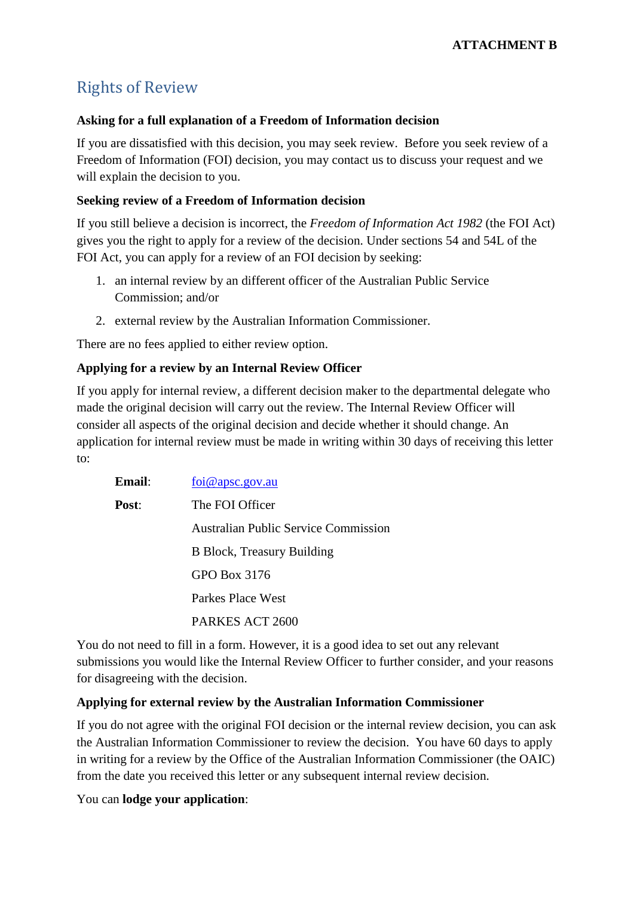# Rights of Review

# **Asking for a full explanation of a Freedom of Information decision**

If you are dissatisfied with this decision, you may seek review. Before you seek review of a Freedom of Information (FOI) decision, you may contact us to discuss your request and we will explain the decision to you.

# **Seeking review of a Freedom of Information decision**

If you still believe a decision is incorrect, the *Freedom of Information Act 1982* (the FOI Act) gives you the right to apply for a review of the decision. Under sections 54 and 54L of the FOI Act, you can apply for a review of an FOI decision by seeking:

- 1. an internal review by an different officer of the Australian Public Service Commission; and/or
- 2. external review by the Australian Information Commissioner.

There are no fees applied to either review option.

# **Applying for a review by an Internal Review Officer**

If you apply for internal review, a different decision maker to the departmental delegate who made the original decision will carry out the review. The Internal Review Officer will consider all aspects of the original decision and decide whether it should change. An application for internal review must be made in writing within 30 days of receiving this letter to:

| <b>Email</b> : | $\overline{foi@$ apsc.gov.au                |
|----------------|---------------------------------------------|
| Post:          | The FOI Officer                             |
|                | <b>Australian Public Service Commission</b> |
|                | <b>B</b> Block, Treasury Building           |
|                | GPO Box 3176                                |
|                | Parkes Place West                           |
|                | PARKES ACT 2600                             |

You do not need to fill in a form. However, it is a good idea to set out any relevant submissions you would like the Internal Review Officer to further consider, and your reasons for disagreeing with the decision.

# **Applying for external review by the Australian Information Commissioner**

If you do not agree with the original FOI decision or the internal review decision, you can ask the Australian Information Commissioner to review the decision. You have 60 days to apply in writing for a review by the Office of the Australian Information Commissioner (the OAIC) from the date you received this letter or any subsequent internal review decision.

You can **lodge your application**: